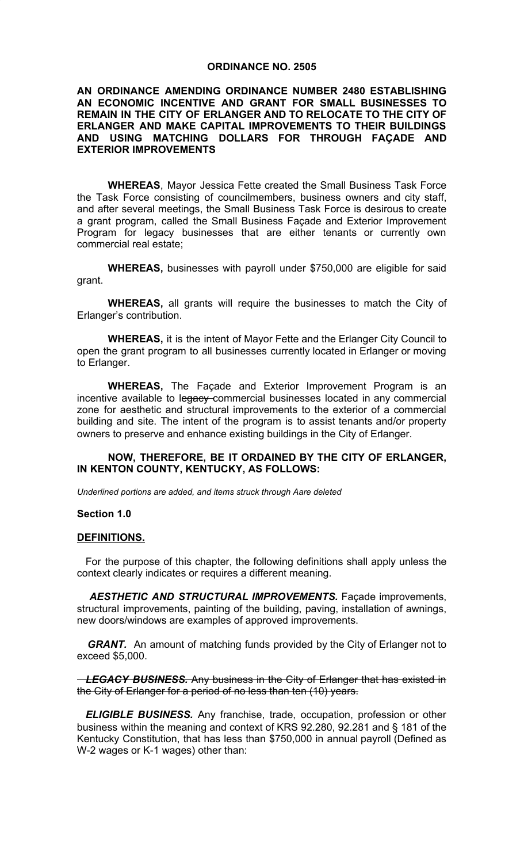#### **ORDINANCE NO. 2505**

#### **AN ORDINANCE AMENDING ORDINANCE NUMBER 2480 ESTABLISHING AN ECONOMIC INCENTIVE AND GRANT FOR SMALL BUSINESSES TO REMAIN IN THE CITY OF ERLANGER AND TO RELOCATE TO THE CITY OF ERLANGER AND MAKE CAPITAL IMPROVEMENTS TO THEIR BUILDINGS AND USING MATCHING DOLLARS FOR THROUGH FAÇADE AND EXTERIOR IMPROVEMENTS**

**WHEREAS**, Mayor Jessica Fette created the Small Business Task Force the Task Force consisting of councilmembers, business owners and city staff, and after several meetings, the Small Business Task Force is desirous to create a grant program, called the Small Business Façade and Exterior Improvement Program for legacy businesses that are either tenants or currently own commercial real estate;

**WHEREAS,** businesses with payroll under \$750,000 are eligible for said grant.

**WHEREAS,** all grants will require the businesses to match the City of Erlanger's contribution.

**WHEREAS,** it is the intent of Mayor Fette and the Erlanger City Council to open the grant program to all businesses currently located in Erlanger or moving to Erlanger.

**WHEREAS,** The Façade and Exterior Improvement Program is an incentive available to legacy commercial businesses located in any commercial zone for aesthetic and structural improvements to the exterior of a commercial building and site. The intent of the program is to assist tenants and/or property owners to preserve and enhance existing buildings in the City of Erlanger.

#### **NOW, THEREFORE, BE IT ORDAINED BY THE CITY OF ERLANGER, IN KENTON COUNTY, KENTUCKY, AS FOLLOWS:**

*Underlined portions are added, and items struck through Aare deleted* 

#### **Section 1.0**

#### **DEFINITIONS.**

 For the purpose of this chapter, the following definitions shall apply unless the context clearly indicates or requires a different meaning.

*AESTHETIC AND STRUCTURAL IMPROVEMENTS.* Façade improvements, structural improvements, painting of the building, paving, installation of awnings, new doors/windows are examples of approved improvements.

*GRANT.* An amount of matching funds provided by the City of Erlanger not to exceed \$5,000.

 *LEGACY BUSINESS.* Any business in the City of Erlanger that has existed in the City of Erlanger for a period of no less than ten (10) years.

 *ELIGIBLE BUSINESS.* Any franchise, trade, occupation, profession or other business within the meaning and context of KRS 92.280, 92.281 and § 181 of the Kentucky Constitution, that has less than \$750,000 in annual payroll (Defined as W-2 wages or K-1 wages) other than: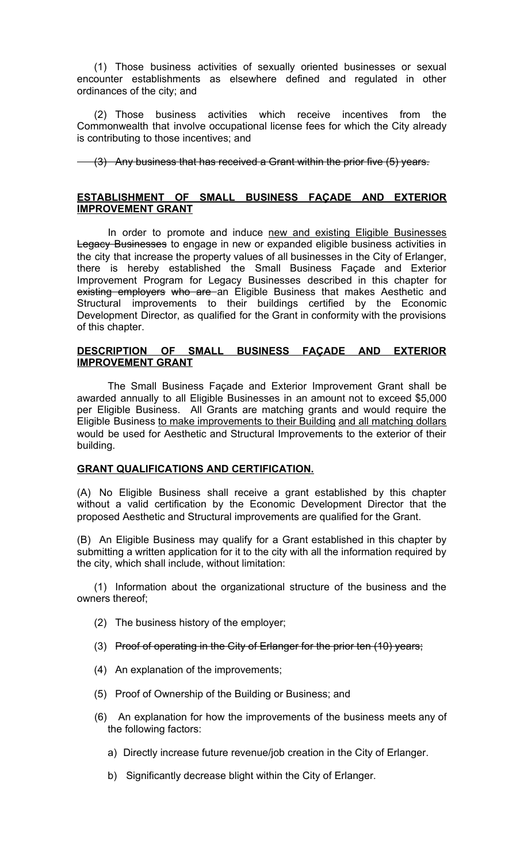(1) Those business activities of sexually oriented businesses or sexual encounter establishments as elsewhere defined and regulated in other ordinances of the city; and

 (2) Those business activities which receive incentives from the Commonwealth that involve occupational license fees for which the City already is contributing to those incentives; and

(3) Any business that has received a Grant within the prior five (5) years.

#### **ESTABLISHMENT OF SMALL BUSINESS FAÇADE AND EXTERIOR IMPROVEMENT GRANT**

 In order to promote and induce new and existing Eligible Businesses Legacy Businesses to engage in new or expanded eligible business activities in the city that increase the property values of all businesses in the City of Erlanger, there is hereby established the Small Business Façade and Exterior Improvement Program for Legacy Businesses described in this chapter for existing employers who are an Eligible Business that makes Aesthetic and Structural improvements to their buildings certified by the Economic Development Director, as qualified for the Grant in conformity with the provisions of this chapter.

### **DESCRIPTION OF SMALL BUSINESS FAÇADE AND EXTERIOR IMPROVEMENT GRANT**

 The Small Business Façade and Exterior Improvement Grant shall be awarded annually to all Eligible Businesses in an amount not to exceed \$5,000 per Eligible Business. All Grants are matching grants and would require the Eligible Business to make improvements to their Building and all matching dollars would be used for Aesthetic and Structural Improvements to the exterior of their building.

### **GRANT QUALIFICATIONS AND CERTIFICATION.**

(A) No Eligible Business shall receive a grant established by this chapter without a valid certification by the Economic Development Director that the proposed Aesthetic and Structural improvements are qualified for the Grant.

(B) An Eligible Business may qualify for a Grant established in this chapter by submitting a written application for it to the city with all the information required by the city, which shall include, without limitation:

 (1) Information about the organizational structure of the business and the owners thereof;

- (2) The business history of the employer;
- (3) Proof of operating in the City of Erlanger for the prior ten  $(10)$  years;
- (4) An explanation of the improvements;
- (5) Proof of Ownership of the Building or Business; and
- (6) An explanation for how the improvements of the business meets any of the following factors:
	- a) Directly increase future revenue/job creation in the City of Erlanger.
	- b) Significantly decrease blight within the City of Erlanger.